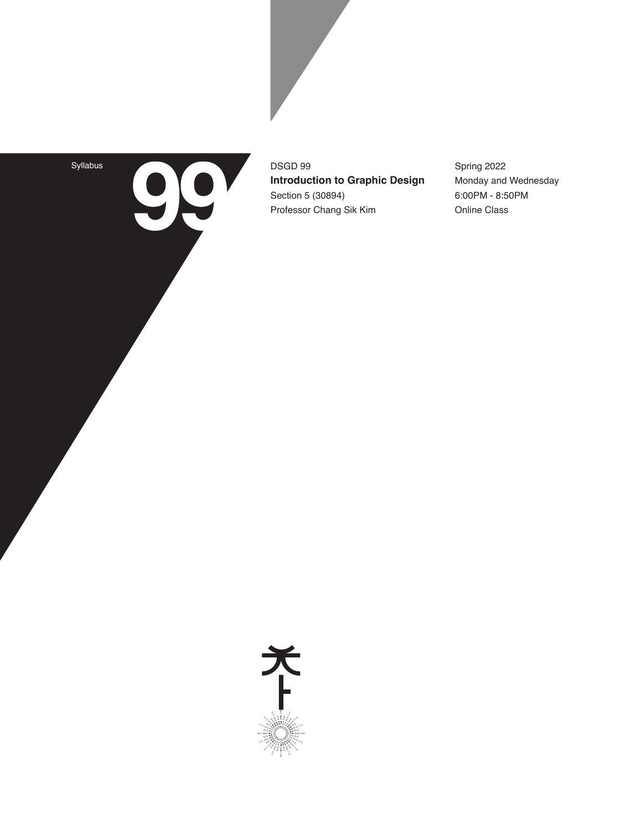Syllabus

99

DSGD 99 **Introduction to Graphic Design** Section 5 (30894) Professor Chang Sik Kim

Spring 2022 Monday and Wednesday 6:00PM - 8:50PM Online Class

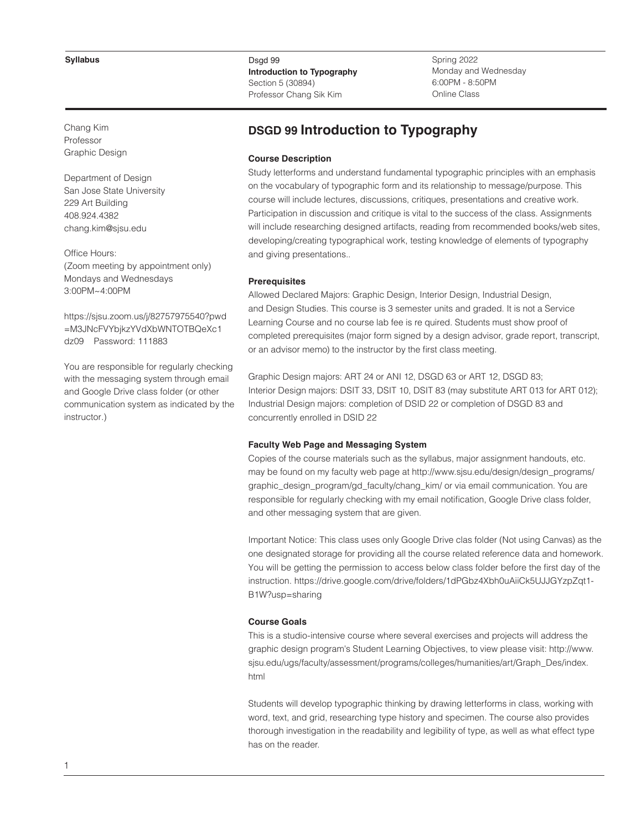Chang Kim Professor Graphic Design

Department of Design San Jose State University 229 Art Building 408.924.4382 chang.kim@sjsu.edu

Office Hours: (Zoom meeting by appointment only) Mondays and Wednesdays 3:00PM~4:00PM

https://sjsu.zoom.us/j/82757975540?pwd =M3JNcFVYbjkzYVdXbWNTOTBQeXc1 dz09 Password: 111883

You are responsible for regularly checking with the messaging system through email and Google Drive class folder (or other communication system as indicated by the instructor.)

## Dsgd 99 **Introduction to Typography** Section 5 (30894) Professor Chang Sik Kim

Spring 2022 Monday and Wednesday 6:00PM - 8:50PM Online Class

# **DSGD 99 Introduction to Typography**

#### **Course Description**

Study letterforms and understand fundamental typographic principles with an emphasis on the vocabulary of typographic form and its relationship to message/purpose. This course will include lectures, discussions, critiques, presentations and creative work. Participation in discussion and critique is vital to the success of the class. Assignments will include researching designed artifacts, reading from recommended books/web sites, developing/creating typographical work, testing knowledge of elements of typography and giving presentations..

#### **Prerequisites**

Allowed Declared Majors: Graphic Design, Interior Design, Industrial Design, and Design Studies. This course is 3 semester units and graded. It is not a Service Learning Course and no course lab fee is re quired. Students must show proof of completed prerequisites (major form signed by a design advisor, grade report, transcript, or an advisor memo) to the instructor by the first class meeting.

Graphic Design majors: ART 24 or ANI 12, DSGD 63 or ART 12, DSGD 83; Interior Design majors: DSIT 33, DSIT 10, DSIT 83 (may substitute ART 013 for ART 012); Industrial Design majors: completion of DSID 22 or completion of DSGD 83 and concurrently enrolled in DSID 22

#### **Faculty Web Page and Messaging System**

Copies of the course materials such as the syllabus, major assignment handouts, etc. may be found on my faculty web page at http://www.sjsu.edu/design/design\_programs/ graphic\_design\_program/gd\_faculty/chang\_kim/ or via email communication. You are responsible for regularly checking with my email notification, Google Drive class folder, and other messaging system that are given.

Important Notice: This class uses only Google Drive clas folder (Not using Canvas) as the one designated storage for providing all the course related reference data and homework. You will be getting the permission to access below class folder before the first day of the instruction. https://drive.google.com/drive/folders/1dPGbz4Xbh0uAiiCk5UJJGYzpZqt1- B1W?usp=sharing

## **Course Goals**

This is a studio-intensive course where several exercises and projects will address the graphic design program's Student Learning Objectives, to view please visit: http://www. sjsu.edu/ugs/faculty/assessment/programs/colleges/humanities/art/Graph\_Des/index. html

Students will develop typographic thinking by drawing letterforms in class, working with word, text, and grid, researching type history and specimen. The course also provides thorough investigation in the readability and legibility of type, as well as what effect type has on the reader.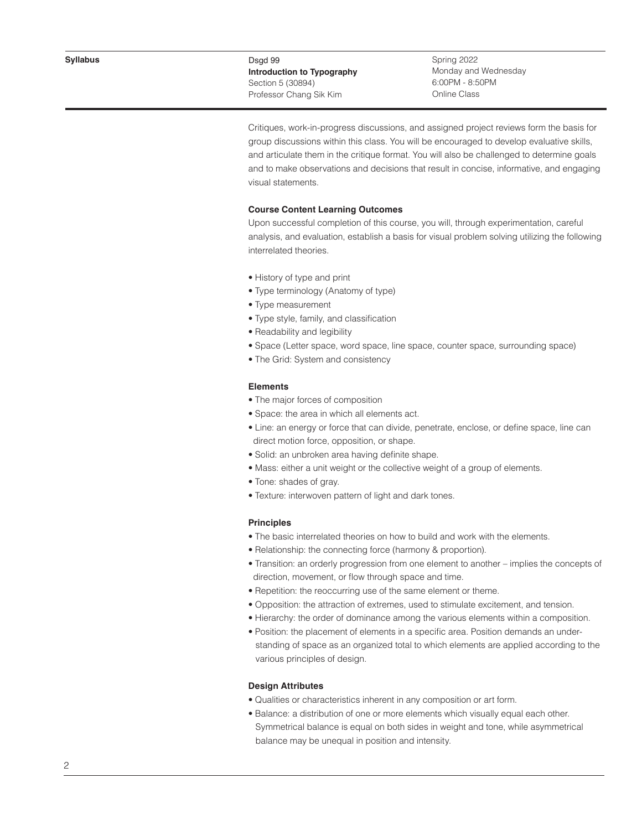Spring 2022 Monday and Wednesday 6:00PM - 8:50PM Online Class

Critiques, work-in-progress discussions, and assigned project reviews form the basis for group discussions within this class. You will be encouraged to develop evaluative skills, and articulate them in the critique format. You will also be challenged to determine goals and to make observations and decisions that result in concise, informative, and engaging visual statements.

#### **Course Content Learning Outcomes**

Upon successful completion of this course, you will, through experimentation, careful analysis, and evaluation, establish a basis for visual problem solving utilizing the following interrelated theories.

- History of type and print
- Type terminology (Anatomy of type)
- Type measurement
- Type style, family, and classification
- Readability and legibility
- Space (Letter space, word space, line space, counter space, surrounding space)
- The Grid: System and consistency

#### **Elements**

- The major forces of composition
- Space: the area in which all elements act.
- Line: an energy or force that can divide, penetrate, enclose, or define space, line can direct motion force, opposition, or shape.
- Solid: an unbroken area having definite shape.
- Mass: either a unit weight or the collective weight of a group of elements.
- Tone: shades of gray.
- Texture: interwoven pattern of light and dark tones.

## **Principles**

- The basic interrelated theories on how to build and work with the elements.
- Relationship: the connecting force (harmony & proportion).
- Transition: an orderly progression from one element to another implies the concepts of direction, movement, or flow through space and time.
- Repetition: the reoccurring use of the same element or theme.
- Opposition: the attraction of extremes, used to stimulate excitement, and tension.
- Hierarchy: the order of dominance among the various elements within a composition.
- Position: the placement of elements in a specific area. Position demands an under standing of space as an organized total to which elements are applied according to the various principles of design.

# **Design Attributes**

- Qualities or characteristics inherent in any composition or art form.
- Balance: a distribution of one or more elements which visually equal each other. Symmetrical balance is equal on both sides in weight and tone, while asymmetrical balance may be unequal in position and intensity.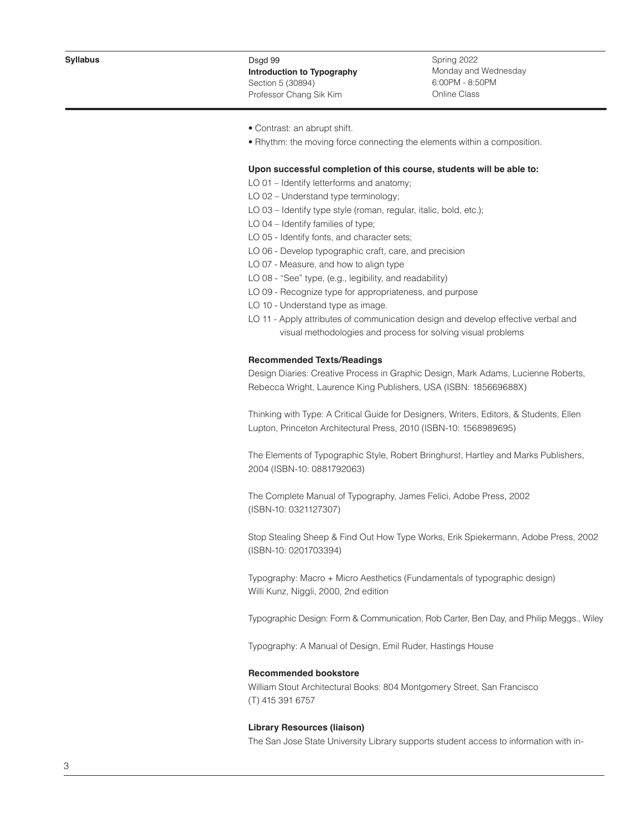Spring 2022 Monday and Wednesday 6:00PM - 8:50PM Online Class

- Contrast: an abrupt shift.
- Rhythm: the moving force connecting the elements within a composition.

## **Upon successful completion of this course, students will be able to:**

LO 01 – Identify letterforms and anatomy;

- LO 02 Understand type terminology;
- LO 03 Identify type style (roman, regular, italic, bold, etc.);
- LO 04 Identify families of type;
- LO 05 Identify fonts, and character sets;
- LO 06 Develop typographic craft, care, and precision
- LO 07 Measure, and how to align type
- LO 08 "See" type, (e.g., legibility, and readability)
- LO 09 Recognize type for appropriateness, and purpose
- LO 10 Understand type as image.
- LO 11 Apply attributes of communication design and develop effective verbal and visual methodologies and process for solving visual problems

#### **Recommended Texts/Readings**

Design Diaries: Creative Process in Graphic Design, Mark Adams, Lucienne Roberts, Rebecca Wright, Laurence King Publishers, USA (ISBN: 185669688X)

Thinking with Type: A Critical Guide for Designers, Writers, Editors, & Students, Ellen Lupton, Princeton Architectural Press, 2010 (ISBN-10: 1568989695)

The Elements of Typographic Style, Robert Bringhurst, Hartley and Marks Publishers, 2004 (ISBN-10: 0881792063)

The Complete Manual of Typography, James Felici, Adobe Press, 2002 (ISBN-10: 0321127307)

Stop Stealing Sheep & Find Out How Type Works, Erik Spiekermann, Adobe Press, 2002 (ISBN-10: 0201703394)

Typography: Macro + Micro Aesthetics (Fundamentals of typographic design) Willi Kunz, Niggli, 2000, 2nd edition

Typographic Design: Form & Communication, Rob Carter, Ben Day, and Philip Meggs., Wiley

Typography: A Manual of Design, Emil Ruder, Hastings House

# **Recommended bookstore**

William Stout Architectural Books: 804 Montgomery Street, San Francisco (T) 415 391 6757

## **Library Resources (liaison)**

The San Jose State University Library supports student access to information with in-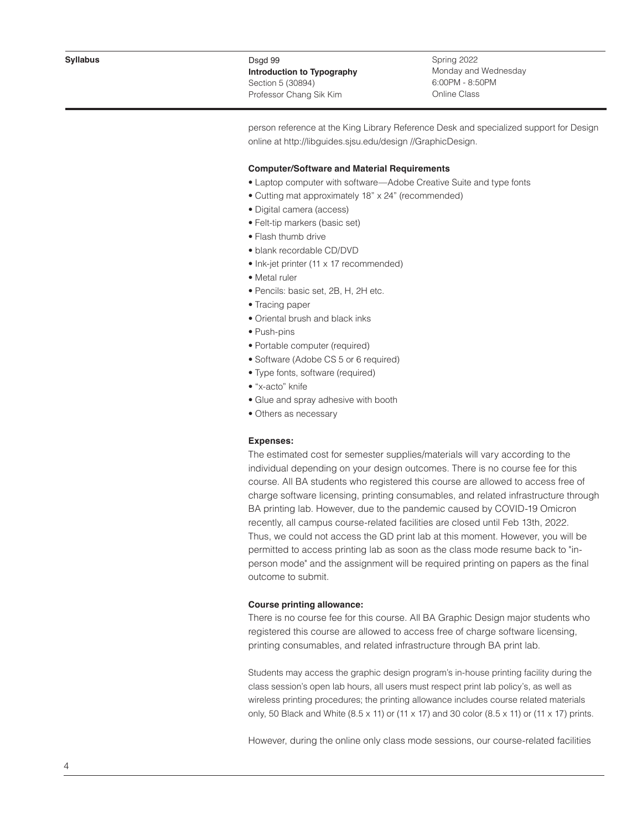Spring 2022 Monday and Wednesday 6:00PM - 8:50PM Online Class

person reference at the King Library Reference Desk and specialized support for Design online at http://libguides.sjsu.edu/design //GraphicDesign.

#### **Computer/Software and Material Requirements**

- Laptop computer with software—Adobe Creative Suite and type fonts
- Cutting mat approximately 18" x 24" (recommended)
- Digital camera (access)
- Felt-tip markers (basic set)
- Flash thumb drive
- blank recordable CD/DVD
- Ink-jet printer (11 x 17 recommended)
- Metal ruler
- Pencils: basic set, 2B, H, 2H etc.
- Tracing paper
- Oriental brush and black inks
- Push-pins
- Portable computer (required)
- Software (Adobe CS 5 or 6 required)
- Type fonts, software (required)
- "x-acto" knife
- Glue and spray adhesive with booth
- Others as necessary

#### **Expenses:**

The estimated cost for semester supplies/materials will vary according to the individual depending on your design outcomes. There is no course fee for this course. All BA students who registered this course are allowed to access free of charge software licensing, printing consumables, and related infrastructure through BA printing lab. However, due to the pandemic caused by COVID-19 Omicron recently, all campus course-related facilities are closed until Feb 13th, 2022. Thus, we could not access the GD print lab at this moment. However, you will be permitted to access printing lab as soon as the class mode resume back to "inperson mode" and the assignment will be required printing on papers as the final outcome to submit.

## **Course printing allowance:**

There is no course fee for this course. All BA Graphic Design major students who registered this course are allowed to access free of charge software licensing, printing consumables, and related infrastructure through BA print lab.

Students may access the graphic design program's in-house printing facility during the class session's open lab hours, all users must respect print lab policy's, as well as wireless printing procedures; the printing allowance includes course related materials only, 50 Black and White  $(8.5 \times 11)$  or  $(11 \times 17)$  and 30 color  $(8.5 \times 11)$  or  $(11 \times 17)$  prints.

However, during the online only class mode sessions, our course-related facilities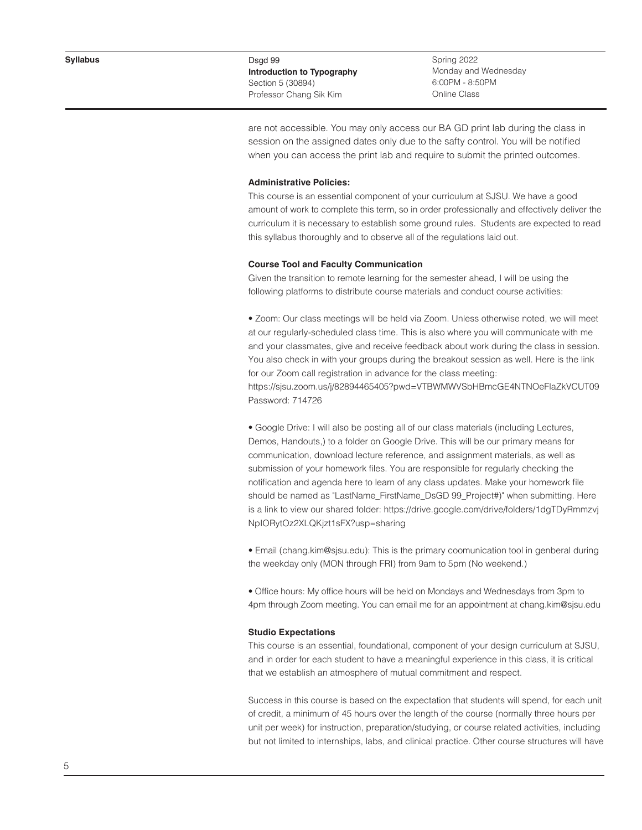Spring 2022 Monday and Wednesday 6:00PM - 8:50PM Online Class

are not accessible. You may only access our BA GD print lab during the class in session on the assigned dates only due to the safty control. You will be notified when you can access the print lab and require to submit the printed outcomes.

#### **Administrative Policies:**

This course is an essential component of your curriculum at SJSU. We have a good amount of work to complete this term, so in order professionally and effectively deliver the curriculum it is necessary to establish some ground rules. Students are expected to read this syllabus thoroughly and to observe all of the regulations laid out.

## **Course Tool and Faculty Communication**

Given the transition to remote learning for the semester ahead, I will be using the following platforms to distribute course materials and conduct course activities:

• Zoom: Our class meetings will be held via Zoom. Unless otherwise noted, we will meet at our regularly-scheduled class time. This is also where you will communicate with me and your classmates, give and receive feedback about work during the class in session. You also check in with your groups during the breakout session as well. Here is the link for our Zoom call registration in advance for the class meeting:

https://sjsu.zoom.us/j/82894465405?pwd=VTBWMWVSbHBmcGE4NTNOeFlaZkVCUT09 Password: 714726

• Google Drive: I will also be posting all of our class materials (including Lectures, Demos, Handouts,) to a folder on Google Drive. This will be our primary means for communication, download lecture reference, and assignment materials, as well as submission of your homework files. You are responsible for regularly checking the notification and agenda here to learn of any class updates. Make your homework file should be named as "LastName\_FirstName\_DsGD 99\_Project#)" when submitting. Here is a link to view our shared folder: https://drive.google.com/drive/folders/1dgTDyRmmzvj NpIORytOz2XLQKjzt1sFX?usp=sharing

• Email (chang.kim@sjsu.edu): This is the primary coomunication tool in genberal during the weekday only (MON through FRI) from 9am to 5pm (No weekend.)

• Office hours: My office hours will be held on Mondays and Wednesdays from 3pm to 4pm through Zoom meeting. You can email me for an appointment at chang.kim@sjsu.edu

# **Studio Expectations**

This course is an essential, foundational, component of your design curriculum at SJSU, and in order for each student to have a meaningful experience in this class, it is critical that we establish an atmosphere of mutual commitment and respect.

Success in this course is based on the expectation that students will spend, for each unit of credit, a minimum of 45 hours over the length of the course (normally three hours per unit per week) for instruction, preparation/studying, or course related activities, including but not limited to internships, labs, and clinical practice. Other course structures will have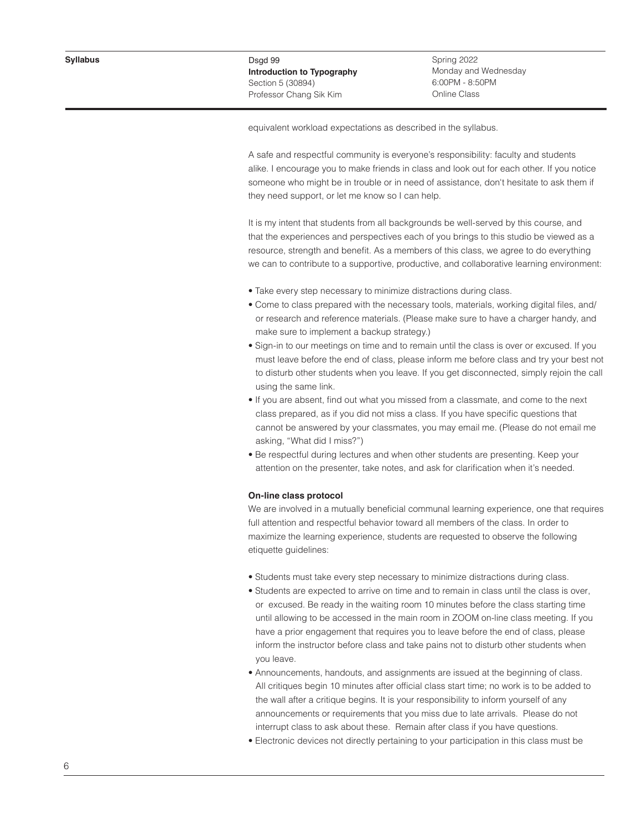Spring 2022 Monday and Wednesday 6:00PM - 8:50PM Online Class

equivalent workload expectations as described in the syllabus.

A safe and respectful community is everyone's responsibility: faculty and students alike. I encourage you to make friends in class and look out for each other. If you notice someone who might be in trouble or in need of assistance, don't hesitate to ask them if they need support, or let me know so I can help.

It is my intent that students from all backgrounds be well-served by this course, and that the experiences and perspectives each of you brings to this studio be viewed as a resource, strength and benefit. As a members of this class, we agree to do everything we can to contribute to a supportive, productive, and collaborative learning environment:

- Take every step necessary to minimize distractions during class.
- Come to class prepared with the necessary tools, materials, working digital files, and/ or research and reference materials. (Please make sure to have a charger handy, and make sure to implement a backup strategy.)
- Sign-in to our meetings on time and to remain until the class is over or excused. If you must leave before the end of class, please inform me before class and try your best not to disturb other students when you leave. If you get disconnected, simply rejoin the call using the same link.
- If you are absent, find out what you missed from a classmate, and come to the next class prepared, as if you did not miss a class. If you have specific questions that cannot be answered by your classmates, you may email me. (Please do not email me asking, "What did I miss?")
- Be respectful during lectures and when other students are presenting. Keep your attention on the presenter, take notes, and ask for clarification when it's needed.

## **On-line class protocol**

We are involved in a mutually beneficial communal learning experience, one that requires full attention and respectful behavior toward all members of the class. In order to maximize the learning experience, students are requested to observe the following etiquette guidelines:

- Students must take every step necessary to minimize distractions during class.
- Students are expected to arrive on time and to remain in class until the class is over, or excused. Be ready in the waiting room 10 minutes before the class starting time until allowing to be accessed in the main room in ZOOM on-line class meeting. If you have a prior engagement that requires you to leave before the end of class, please inform the instructor before class and take pains not to disturb other students when you leave.
- Announcements, handouts, and assignments are issued at the beginning of class. All critiques begin 10 minutes after official class start time; no work is to be added to the wall after a critique begins. It is your responsibility to inform yourself of any announcements or requirements that you miss due to late arrivals. Please do not interrupt class to ask about these. Remain after class if you have questions.
- Electronic devices not directly pertaining to your participation in this class must be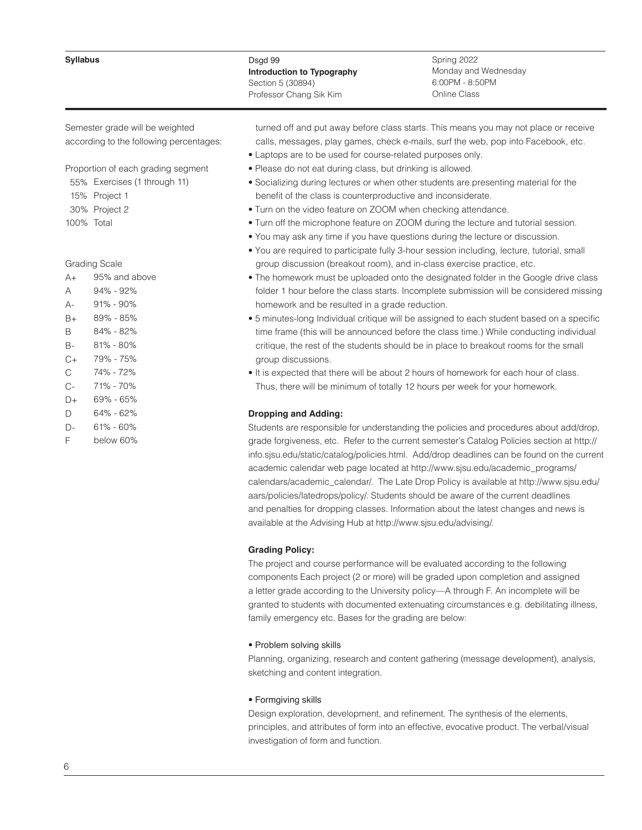#### **Syllabus**

# Dsgd 99 **Introduction to Typography** Section 5 (30894) Professor Chang Sik Kim

Spring 2022 Monday and Wednesday 6:00PM - 8:50PM Online Class

Semester grade will be weighted according to the following percentages:

Proportion of each grading segment

- 55% Exercises (1 through 11)
- 15% Project 1
- 30% Project 2
- 100% Total

## Grading Scale

| A+   | 95% and above |
|------|---------------|
| А    | $94\% - 92\%$ |
| А-   | 91% - 90%     |
| B+   | 89% - 85%     |
| B    | 84% - 82%     |
| B-   | 81% - 80%     |
| $C+$ | 79% - 75%     |
| C    | 74% - 72%     |
| $C-$ | 71% - 70%     |
| D+   | 69% - 65%     |
| D    | 64% - 62%     |
| D-   | 61% - 60%     |
| F    | below 60%     |

 turned off and put away before class starts. This means you may not place or receive calls, messages, play games, check e-mails, surf the web, pop into Facebook, etc.

- Laptops are to be used for course-related purposes only.
- Please do not eat during class, but drinking is allowed.
- Socializing during lectures or when other students are presenting material for the benefit of the class is counterproductive and inconsiderate.
- Turn on the video feature on ZOOM when checking attendance.
- Turn off the microphone feature on ZOOM during the lecture and tutorial session.
- You may ask any time if you have questions during the lecture or discussion.
- You are required to participate fully 3-hour session including, lecture, tutorial, small group discussion (breakout room), and in-class exercise practice, etc.
- The homework must be uploaded onto the designated folder in the Google drive class folder 1 hour before the class starts. Incomplete submission will be considered missing homework and be resulted in a grade reduction.
- 5 minutes-long Individual critique will be assigned to each student based on a specific time frame (this will be announced before the class time.) While conducting individual critique, the rest of the students should be in place to breakout rooms for the small group discussions.
- It is expected that there will be about 2 hours of homework for each hour of class. Thus, there will be minimum of totally 12 hours per week for your homework.

# **Dropping and Adding:**

Students are responsible for understanding the policies and procedures about add/drop, grade forgiveness, etc. Refer to the current semester's Catalog Policies section at http:// info.sjsu.edu/static/catalog/policies.html. Add/drop deadlines can be found on the current academic calendar web page located at http://www.sjsu.edu/academic\_programs/ calendars/academic\_calendar/. The Late Drop Policy is available at http://www.sjsu.edu/ aars/policies/latedrops/policy/. Students should be aware of the current deadlines and penalties for dropping classes. Information about the latest changes and news is available at the Advising Hub at http://www.sjsu.edu/advising/.

## **Grading Policy:**

The project and course performance will be evaluated according to the following components Each project (2 or more) will be graded upon completion and assigned a letter grade according to the University policy—A through F. An incomplete will be granted to students with documented extenuating circumstances e.g. debilitating illness, family emergency etc. Bases for the grading are below:

## • Problem solving skills

Planning, organizing, research and content gathering (message development), analysis, sketching and content integration.

## • Formgiving skills

Design exploration, development, and refinement. The synthesis of the elements, principles, and attributes of form into an effective, evocative product. The verbal/visual investigation of form and function.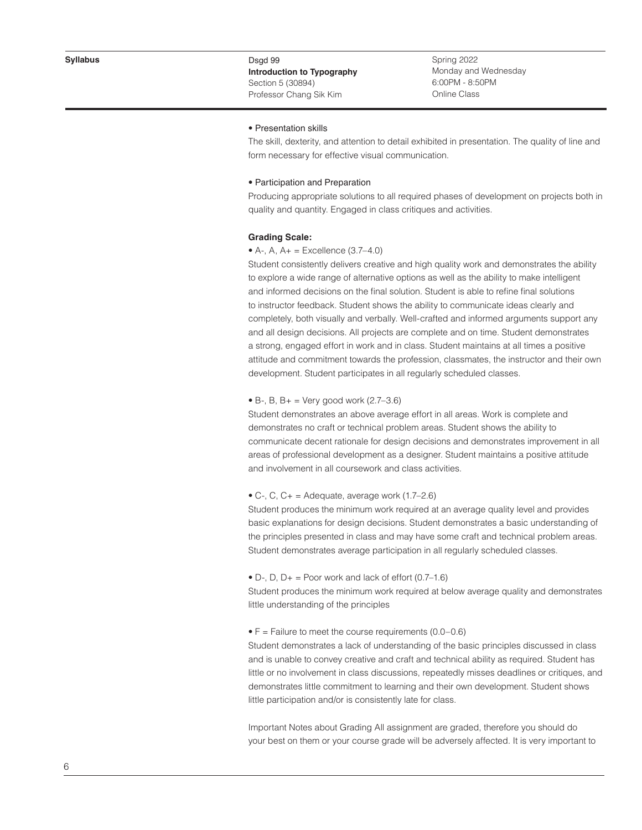Spring 2022 Monday and Wednesday 6:00PM - 8:50PM Online Class

## • Presentation skills

The skill, dexterity, and attention to detail exhibited in presentation. The quality of line and form necessary for effective visual communication.

#### • Participation and Preparation

Producing appropriate solutions to all required phases of development on projects both in quality and quantity. Engaged in class critiques and activities.

#### **Grading Scale:**

#### • A-, A,  $A_{+}$  = Excellence (3.7–4.0)

Student consistently delivers creative and high quality work and demonstrates the ability to explore a wide range of alternative options as well as the ability to make intelligent and informed decisions on the final solution. Student is able to refine final solutions to instructor feedback. Student shows the ability to communicate ideas clearly and completely, both visually and verbally. Well-crafted and informed arguments support any and all design decisions. All projects are complete and on time. Student demonstrates a strong, engaged effort in work and in class. Student maintains at all times a positive attitude and commitment towards the profession, classmates, the instructor and their own development. Student participates in all regularly scheduled classes.

#### • B-, B, B+ = Very good work  $(2.7-3.6)$

Student demonstrates an above average effort in all areas. Work is complete and demonstrates no craft or technical problem areas. Student shows the ability to communicate decent rationale for design decisions and demonstrates improvement in all areas of professional development as a designer. Student maintains a positive attitude and involvement in all coursework and class activities.

## $\bullet$  C-, C, C+ = Adequate, average work (1.7–2.6)

Student produces the minimum work required at an average quality level and provides basic explanations for design decisions. Student demonstrates a basic understanding of the principles presented in class and may have some craft and technical problem areas. Student demonstrates average participation in all regularly scheduled classes.

• D-, D,  $D_+$  = Poor work and lack of effort  $(0.7-1.6)$ 

Student produces the minimum work required at below average quality and demonstrates little understanding of the principles

#### $\bullet$  F = Failure to meet the course requirements (0.0–0.6)

Student demonstrates a lack of understanding of the basic principles discussed in class and is unable to convey creative and craft and technical ability as required. Student has little or no involvement in class discussions, repeatedly misses deadlines or critiques, and demonstrates little commitment to learning and their own development. Student shows little participation and/or is consistently late for class.

Important Notes about Grading All assignment are graded, therefore you should do your best on them or your course grade will be adversely affected. It is very important to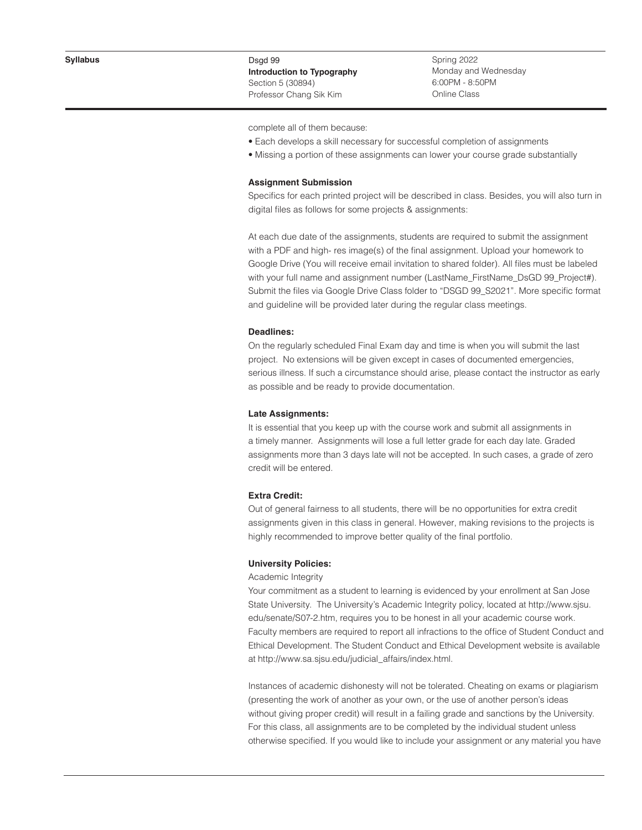Spring 2022 Monday and Wednesday 6:00PM - 8:50PM Online Class

complete all of them because:

- Each develops a skill necessary for successful completion of assignments
- Missing a portion of these assignments can lower your course grade substantially

#### **Assignment Submission**

Specifics for each printed project will be described in class. Besides, you will also turn in digital files as follows for some projects & assignments:

At each due date of the assignments, students are required to submit the assignment with a PDF and high- res image(s) of the final assignment. Upload your homework to Google Drive (You will receive email invitation to shared folder). All files must be labeled with your full name and assignment number (LastName\_FirstName\_DsGD 99\_Project#). Submit the files via Google Drive Class folder to "DSGD 99\_S2021". More specific format and guideline will be provided later during the regular class meetings.

#### **Deadlines:**

On the regularly scheduled Final Exam day and time is when you will submit the last project. No extensions will be given except in cases of documented emergencies, serious illness. If such a circumstance should arise, please contact the instructor as early as possible and be ready to provide documentation.

# **Late Assignments
:**

It is essential that you keep up with the course work and submit all assignments in a timely manner. Assignments will lose a full letter grade for each day late. Graded assignments more than 3 days late will not be accepted. In such cases, a grade of zero credit will be entered.

### **Extra Credit:**

Out of general fairness to all students, there will be no opportunities for extra credit assignments given in this class in general. However, making revisions to the projects is highly recommended to improve better quality of the final portfolio.

#### **University Policies:**

## Academic Integrity

Your commitment as a student to learning is evidenced by your enrollment at San Jose State University. The University's Academic Integrity policy, located at http://www.sjsu. edu/senate/S07-2.htm, requires you to be honest in all your academic course work. Faculty members are required to report all infractions to the office of Student Conduct and Ethical Development. The Student Conduct and Ethical Development website is available at http://www.sa.sjsu.edu/judicial\_affairs/index.html.

Instances of academic dishonesty will not be tolerated. Cheating on exams or plagiarism (presenting the work of another as your own, or the use of another person's ideas without giving proper credit) will result in a failing grade and sanctions by the University. For this class, all assignments are to be completed by the individual student unless otherwise specified. If you would like to include your assignment or any material you have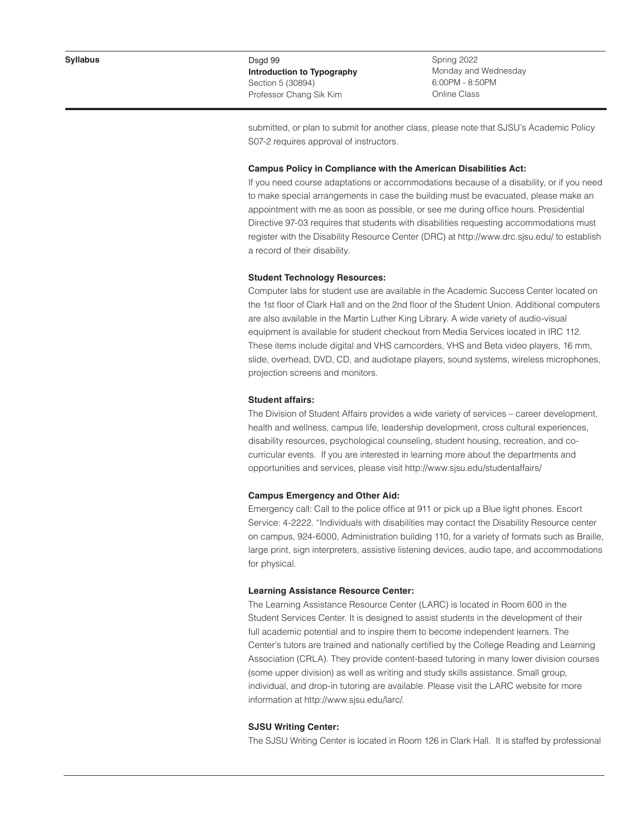Spring 2022 Monday and Wednesday 6:00PM - 8:50PM Online Class

submitted, or plan to submit for another class, please note that SJSU's Academic Policy S07-2 requires approval of instructors.

#### **Campus Policy in Compliance with the American Disabilities Act:**

If you need course adaptations or accommodations because of a disability, or if you need to make special arrangements in case the building must be evacuated, please make an appointment with me as soon as possible, or see me during office hours. Presidential Directive 97-03 requires that students with disabilities requesting accommodations must register with the Disability Resource Center (DRC) at http://www.drc.sjsu.edu/ to establish a record of their disability.

# **Student Technology Resources:**

Computer labs for student use are available in the Academic Success Center located on the 1st floor of Clark Hall and on the 2nd floor of the Student Union. Additional computers are also available in the Martin Luther King Library. A wide variety of audio-visual equipment is available for student checkout from Media Services located in IRC 112. These items include digital and VHS camcorders, VHS and Beta video players, 16 mm, slide, overhead, DVD, CD, and audiotape players, sound systems, wireless microphones, projection screens and monitors.

#### **Student affairs:**

The Division of Student Affairs provides a wide variety of services – career development, health and wellness, campus life, leadership development, cross cultural experiences, disability resources, psychological counseling, student housing, recreation, and cocurricular events. If you are interested in learning more about the departments and opportunities and services, please visit http://www.sjsu.edu/studentaffairs/

### **Campus Emergency and Other Aid:**

Emergency call: Call to the police office at 911 or pick up a Blue light phones. Escort Service: 4-2222. "Individuals with disabilities may contact the Disability Resource center on campus, 924-6000, Administration building 110, for a variety of formats such as Braille, large print, sign interpreters, assistive listening devices, audio tape, and accommodations for physical.

#### **Learning Assistance Resource Center:**

The Learning Assistance Resource Center (LARC) is located in Room 600 in the Student Services Center. It is designed to assist students in the development of their full academic potential and to inspire them to become independent learners. The Center's tutors are trained and nationally certified by the College Reading and Learning Association (CRLA). They provide content-based tutoring in many lower division courses (some upper division) as well as writing and study skills assistance. Small group, individual, and drop-in tutoring are available. Please visit the LARC website for more information at http://www.sjsu.edu/larc/.

#### **SJSU Writing Center:**

The SJSU Writing Center is located in Room 126 in Clark Hall. It is staffed by professional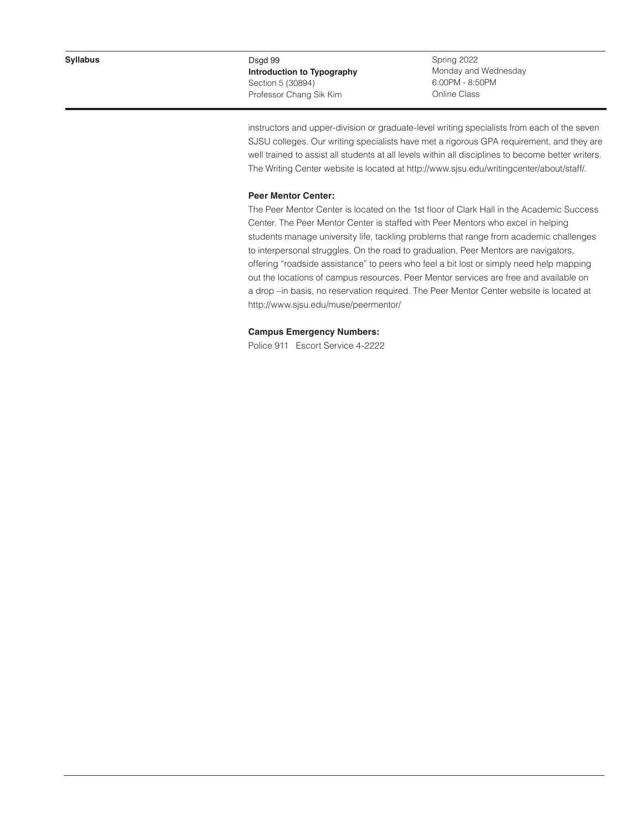Spring 2022 Monday and Wednesday 6:00PM - 8:50PM Online Class

instructors and upper-division or graduate-level writing specialists from each of the seven SJSU colleges. Our writing specialists have met a rigorous GPA requirement, and they are well trained to assist all students at all levels within all disciplines to become better writers. The Writing Center website is located at http://www.sjsu.edu/writingcenter/about/staff/.

# **Peer Mentor Center:**

The Peer Mentor Center is located on the 1st floor of Clark Hall in the Academic Success Center. The Peer Mentor Center is staffed with Peer Mentors who excel in helping students manage university life, tackling problems that range from academic challenges to interpersonal struggles. On the road to graduation, Peer Mentors are navigators, offering "roadside assistance" to peers who feel a bit lost or simply need help mapping out the locations of campus resources. Peer Mentor services are free and available on a drop –in basis, no reservation required. The Peer Mentor Center website is located at http://www.sjsu.edu/muse/peermentor/

# **Campus Emergency Numbers:**

Police 911 Escort Service 4-2222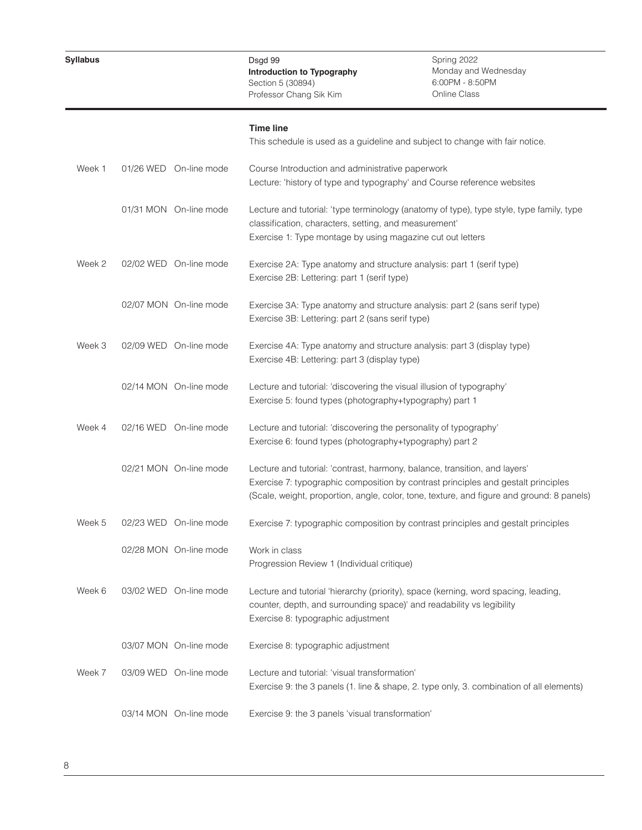# **Time line**

|        |                        | This schedule is used as a guideline and subject to change with fair notice.                                                                                                                                                                                 |
|--------|------------------------|--------------------------------------------------------------------------------------------------------------------------------------------------------------------------------------------------------------------------------------------------------------|
| Week 1 | 01/26 WED On-line mode | Course Introduction and administrative paperwork<br>Lecture: 'history of type and typography' and Course reference websites                                                                                                                                  |
|        | 01/31 MON On-line mode | Lecture and tutorial: 'type terminology (anatomy of type), type style, type family, type<br>classification, characters, setting, and measurement'<br>Exercise 1: Type montage by using magazine cut out letters                                              |
| Week 2 | 02/02 WED On-line mode | Exercise 2A: Type anatomy and structure analysis: part 1 (serif type)<br>Exercise 2B: Lettering: part 1 (serif type)                                                                                                                                         |
|        | 02/07 MON On-line mode | Exercise 3A: Type anatomy and structure analysis: part 2 (sans serif type)<br>Exercise 3B: Lettering: part 2 (sans serif type)                                                                                                                               |
| Week 3 | 02/09 WED On-line mode | Exercise 4A: Type anatomy and structure analysis: part 3 (display type)<br>Exercise 4B: Lettering: part 3 (display type)                                                                                                                                     |
|        | 02/14 MON On-line mode | Lecture and tutorial: 'discovering the visual illusion of typography'<br>Exercise 5: found types (photography+typography) part 1                                                                                                                             |
| Week 4 | 02/16 WED On-line mode | Lecture and tutorial: 'discovering the personality of typography'<br>Exercise 6: found types (photography+typography) part 2                                                                                                                                 |
|        | 02/21 MON On-line mode | Lecture and tutorial: 'contrast, harmony, balance, transition, and layers'<br>Exercise 7: typographic composition by contrast principles and gestalt principles<br>(Scale, weight, proportion, angle, color, tone, texture, and figure and ground: 8 panels) |
| Week 5 | 02/23 WED On-line mode | Exercise 7: typographic composition by contrast principles and gestalt principles                                                                                                                                                                            |
|        | 02/28 MON On-line mode | Work in class<br>Progression Review 1 (Individual critique)                                                                                                                                                                                                  |
| Week 6 | 03/02 WED On-line mode | Lecture and tutorial 'hierarchy (priority), space (kerning, word spacing, leading,<br>counter, depth, and surrounding space)' and readability vs legibility<br>Exercise 8: typographic adjustment                                                            |
|        | 03/07 MON On-line mode | Exercise 8: typographic adjustment                                                                                                                                                                                                                           |
| Week 7 | 03/09 WED On-line mode | Lecture and tutorial: 'visual transformation'<br>Exercise 9: the 3 panels (1. line & shape, 2. type only, 3. combination of all elements)                                                                                                                    |
|        | 03/14 MON On-line mode | Exercise 9: the 3 panels 'visual transformation'                                                                                                                                                                                                             |